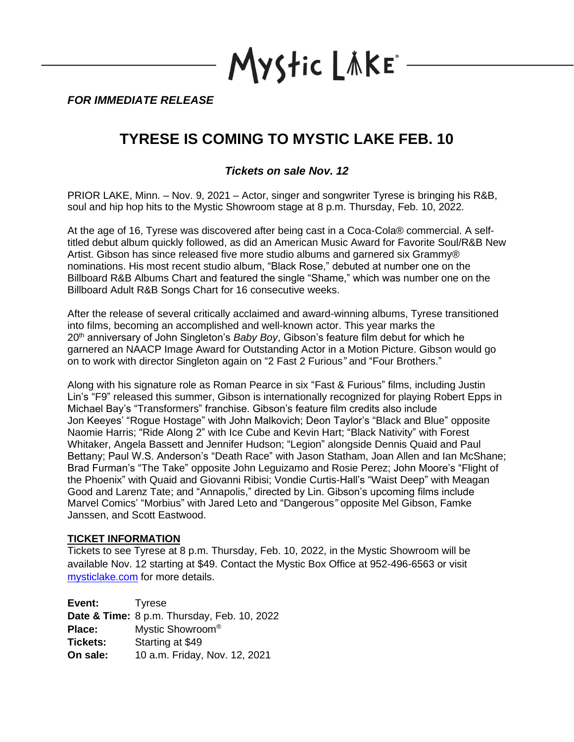Mystic LAKE

*FOR IMMEDIATE RELEASE*

## **TYRESE IS COMING TO MYSTIC LAKE FEB. 10**

*Tickets on sale Nov. 12*

PRIOR LAKE, Minn. – Nov. 9, 2021 – Actor, singer and songwriter Tyrese is bringing his R&B, soul and hip hop hits to the Mystic Showroom stage at 8 p.m. Thursday, Feb. 10, 2022.

At the age of 16, Tyrese was discovered after being cast in a Coca-Cola® commercial. A selftitled debut album quickly followed, as did an American Music Award for Favorite Soul/R&B New Artist. Gibson has since released five more studio albums and garnered six Grammy® nominations. His most recent studio album, "Black Rose," debuted at number one on the Billboard R&B Albums Chart and featured the single "Shame," which was number one on the Billboard Adult R&B Songs Chart for 16 consecutive weeks.

After the release of several critically acclaimed and award-winning albums, Tyrese transitioned into films, becoming an accomplished and well-known actor. This year marks the 20th anniversary of John Singleton's *Baby Boy*, Gibson's feature film debut for which he garnered an NAACP Image Award for Outstanding Actor in a Motion Picture. Gibson would go on to work with director Singleton again on "2 Fast 2 Furious*"* and "Four Brothers."

Along with his signature role as Roman Pearce in six "Fast & Furious" films, including Justin Lin's "F9" released this summer, Gibson is internationally recognized for playing Robert Epps in Michael Bay's "Transformers" franchise. Gibson's feature film credits also include Jon Keeyes' "Rogue Hostage" with John Malkovich; Deon Taylor's "Black and Blue" opposite Naomie Harris; "Ride Along 2" with Ice Cube and Kevin Hart; "Black Nativity" with Forest Whitaker, Angela Bassett and Jennifer Hudson; "Legion" alongside Dennis Quaid and Paul Bettany; Paul W.S. Anderson's "Death Race" with Jason Statham, Joan Allen and Ian McShane; Brad Furman's "The Take" opposite John Leguizamo and Rosie Perez; John Moore's "Flight of the Phoenix" with Quaid and Giovanni Ribisi; Vondie Curtis-Hall's "Waist Deep" with Meagan Good and Larenz Tate; and "Annapolis," directed by Lin. Gibson's upcoming films include Marvel Comics' "Morbius" with Jared Leto and "Dangerous*"* opposite Mel Gibson, Famke Janssen, and Scott Eastwood.

## **TICKET INFORMATION**

Tickets to see Tyrese at 8 p.m. Thursday, Feb. 10, 2022, in the Mystic Showroom will be available Nov. 12 starting at \$49. Contact the Mystic Box Office at 952-496-6563 or visit [mysticlake.com](http://www.mysticlake.com/) for more details.

**Event:** Tyrese **Date & Time:** 8 p.m. Thursday, Feb. 10, 2022 **Place:** Mystic Showroom® **Tickets:** Starting at \$49 **On sale:** 10 a.m. Friday, Nov. 12, 2021